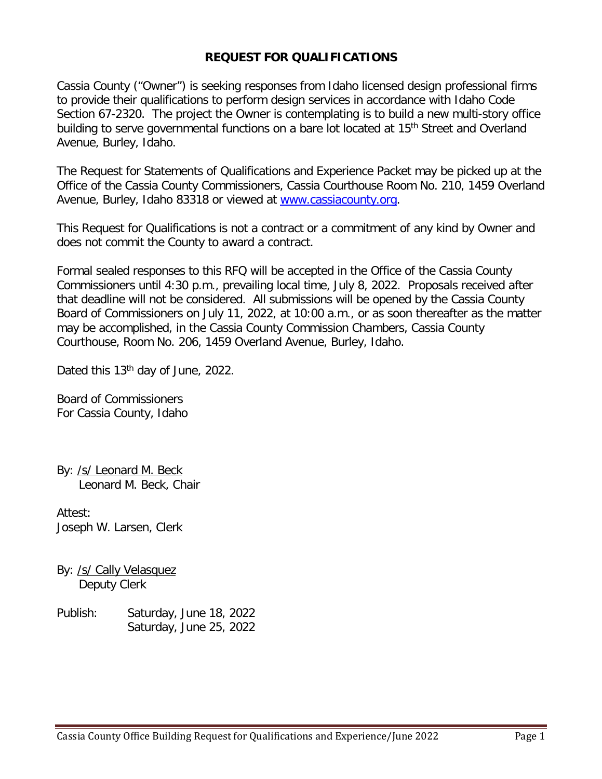## **REQUEST FOR QUALIFICATIONS**

Cassia County ("Owner") is seeking responses from Idaho licensed design professional firms to provide their qualifications to perform design services in accordance with Idaho Code Section 67-2320. The project the Owner is contemplating is to build a new multi-story office building to serve governmental functions on a bare lot located at 15<sup>th</sup> Street and Overland Avenue, Burley, Idaho.

The Request for Statements of Qualifications and Experience Packet may be picked up at the Office of the Cassia County Commissioners, Cassia Courthouse Room No. 210, 1459 Overland Avenue, Burley, Idaho 83318 or viewed at [www.cassiacounty.org.](http://www.cassiacounty.org/)

This Request for Qualifications is not a contract or a commitment of any kind by Owner and does not commit the County to award a contract.

Formal sealed responses to this RFQ will be accepted in the Office of the Cassia County Commissioners until 4:30 p.m., prevailing local time, July 8, 2022. Proposals received after that deadline will not be considered. All submissions will be opened by the Cassia County Board of Commissioners on July 11, 2022, at 10:00 a.m., or as soon thereafter as the matter may be accomplished, in the Cassia County Commission Chambers, Cassia County Courthouse, Room No. 206, 1459 Overland Avenue, Burley, Idaho.

Dated this 13<sup>th</sup> day of June, 2022.

Board of Commissioners For Cassia County, Idaho

By: /s/ Leonard M. Beck Leonard M. Beck, Chair

Attest: Joseph W. Larsen, Clerk

By: /s/ Cally Velasquez Deputy Clerk

Publish: Saturday, June 18, 2022 Saturday, June 25, 2022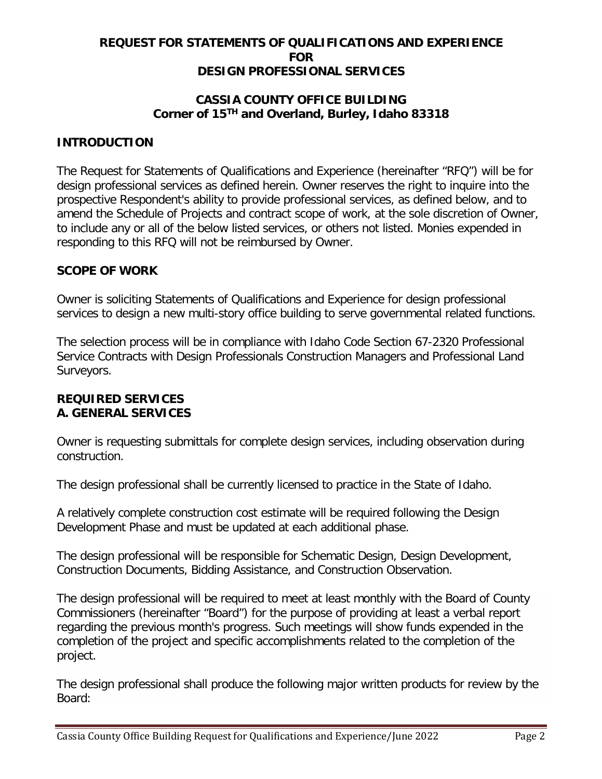## **REQUEST FOR STATEMENTS OF QUALIFICATIONS AND EXPERIENCE FOR DESIGN PROFESSIONAL SERVICES**

# **CASSIA COUNTY OFFICE BUILDING Corner of 15TH and Overland, Burley, Idaho 83318**

## **INTRODUCTION**

The Request for Statements of Qualifications and Experience (hereinafter "RFQ") will be for design professional services as defined herein. Owner reserves the right to inquire into the prospective Respondent's ability to provide professional services, as defined below, and to amend the Schedule of Projects and contract scope of work, at the sole discretion of Owner, to include any or all of the below listed services, or others not listed. Monies expended in responding to this RFQ will not be reimbursed by Owner.

### **SCOPE OF WORK**

Owner is soliciting Statements of Qualifications and Experience for design professional services to design a new multi-story office building to serve governmental related functions.

The selection process will be in compliance with Idaho Code Section 67-2320 Professional Service Contracts with Design Professionals Construction Managers and Professional Land Surveyors.

#### **REQUIRED SERVICES A. GENERAL SERVICES**

Owner is requesting submittals for complete design services, including observation during construction.

The design professional shall be currently licensed to practice in the State of Idaho.

A relatively complete construction cost estimate will be required following the Design Development Phase and must be updated at each additional phase.

The design professional will be responsible for Schematic Design, Design Development, Construction Documents, Bidding Assistance, and Construction Observation.

The design professional will be required to meet at least monthly with the Board of County Commissioners (hereinafter "Board") for the purpose of providing at least a verbal report regarding the previous month's progress. Such meetings will show funds expended in the completion of the project and specific accomplishments related to the completion of the project.

The design professional shall produce the following major written products for review by the Board: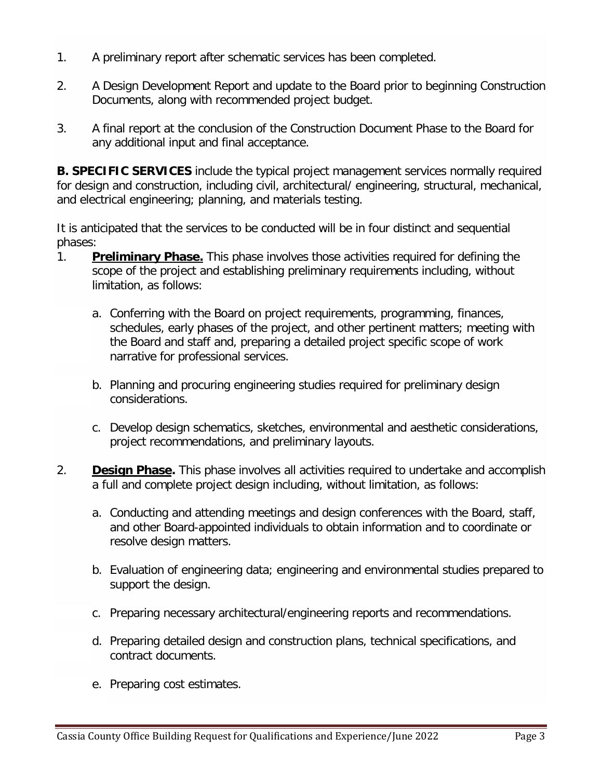- 1. A preliminary report after schematic services has been completed.
- 2. A Design Development Report and update to the Board prior to beginning Construction Documents, along with recommended project budget.
- 3. A final report at the conclusion of the Construction Document Phase to the Board for any additional input and final acceptance.

**B. SPECIFIC SERVICES** include the typical project management services normally required for design and construction, including civil, architectural/ engineering, structural, mechanical, and electrical engineering; planning, and materials testing.

It is anticipated that the services to be conducted will be in four distinct and sequential phases:

- 1. **Preliminary Phase.** This phase involves those activities required for defining the scope of the project and establishing preliminary requirements including, without limitation, as follows:
	- a. Conferring with the Board on project requirements, programming, finances, schedules, early phases of the project, and other pertinent matters; meeting with the Board and staff and, preparing a detailed project specific scope of work narrative for professional services.
	- b. Planning and procuring engineering studies required for preliminary design considerations.
	- c. Develop design schematics, sketches, environmental and aesthetic considerations, project recommendations, and preliminary layouts.
- 2. **Design Phase.** This phase involves all activities required to undertake and accomplish a full and complete project design including, without limitation, as follows:
	- a. Conducting and attending meetings and design conferences with the Board, staff, and other Board-appointed individuals to obtain information and to coordinate or resolve design matters.
	- b. Evaluation of engineering data; engineering and environmental studies prepared to support the design.
	- c. Preparing necessary architectural/engineering reports and recommendations.
	- d. Preparing detailed design and construction plans, technical specifications, and contract documents.
	- e. Preparing cost estimates.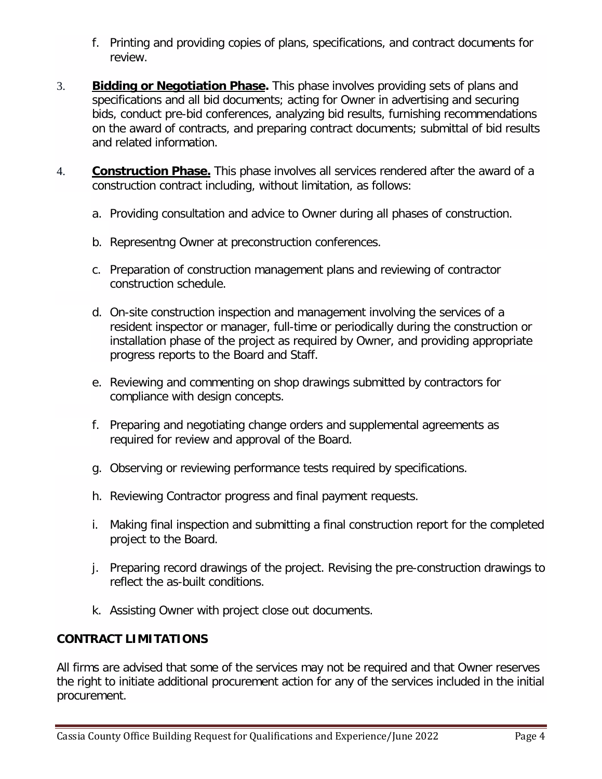- f. Printing and providing copies of plans, specifications, and contract documents for review.
- 3. **Bidding or Negotiation Phase.** This phase involves providing sets of plans and specifications and all bid documents; acting for Owner in advertising and securing bids, conduct pre-bid conferences, analyzing bid results, furnishing recommendations on the award of contracts, and preparing contract documents; submittal of bid results and related information.
- 4. **Construction Phase.** This phase involves all services rendered after the award of a construction contract including, without limitation, as follows:
	- a. Providing consultation and advice to Owner during all phases of construction.
	- b. Representng Owner at preconstruction conferences.
	- c. Preparation of construction management plans and reviewing of contractor construction schedule.
	- d. On-site construction inspection and management involving the services of a resident inspector or manager, full-time or periodically during the construction or installation phase of the project as required by Owner, and providing appropriate progress reports to the Board and Staff.
	- e. Reviewing and commenting on shop drawings submitted by contractors for compliance with design concepts.
	- f. Preparing and negotiating change orders and supplemental agreements as required for review and approval of the Board.
	- g. Observing or reviewing performance tests required by specifications.
	- h. Reviewing Contractor progress and final payment requests.
	- i. Making final inspection and submitting a final construction report for the completed project to the Board.
	- j. Preparing record drawings of the project. Revising the pre-construction drawings to reflect the as-built conditions.
	- k. Assisting Owner with project close out documents.

### **CONTRACT LIMITATIONS**

All firms are advised that some of the services may not be required and that Owner reserves the right to initiate additional procurement action for any of the services included in the initial procurement.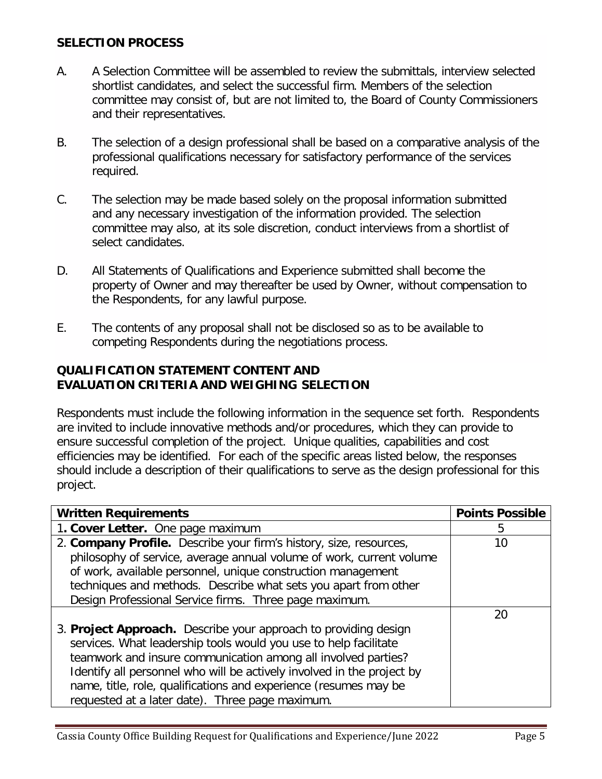# **SELECTION PROCESS**

- A. A Selection Committee will be assembled to review the submittals, interview selected shortlist candidates, and select the successful firm. Members of the selection committee may consist of, but are not limited to, the Board of County Commissioners and their representatives.
- B. The selection of a design professional shall be based on a comparative analysis of the professional qualifications necessary for satisfactory performance of the services required.
- C. The selection may be made based solely on the proposal information submitted and any necessary investigation of the information provided. The selection committee may also, at its sole discretion, conduct interviews from a shortlist of select candidates.
- D. All Statements of Qualifications and Experience submitted shall become the property of Owner and may thereafter be used by Owner, without compensation to the Respondents, for any lawful purpose.
- E. The contents of any proposal shall not be disclosed so as to be available to competing Respondents during the negotiations process.

### **QUALIFICATION STATEMENT CONTENT AND EVALUATION CRITERIA AND WEIGHING SELECTION**

Respondents must include the following information in the sequence set forth. Respondents are invited to include innovative methods and/or procedures, which they can provide to ensure successful completion of the project. Unique qualities, capabilities and cost efficiencies may be identified. For each of the specific areas listed below, the responses should include a description of their qualifications to serve as the design professional for this project.

| <b>Written Requirements</b>                                            | <b>Points Possible</b> |
|------------------------------------------------------------------------|------------------------|
| 1. Cover Letter. One page maximum                                      | ხ                      |
| 2. Company Profile. Describe your firm's history, size, resources,     | 10                     |
| philosophy of service, average annual volume of work, current volume   |                        |
| of work, available personnel, unique construction management           |                        |
| techniques and methods. Describe what sets you apart from other        |                        |
| Design Professional Service firms. Three page maximum.                 |                        |
|                                                                        | 20                     |
| 3. Project Approach. Describe your approach to providing design        |                        |
| services. What leadership tools would you use to help facilitate       |                        |
| teamwork and insure communication among all involved parties?          |                        |
| Identify all personnel who will be actively involved in the project by |                        |
| name, title, role, qualifications and experience (resumes may be       |                        |
| requested at a later date). Three page maximum.                        |                        |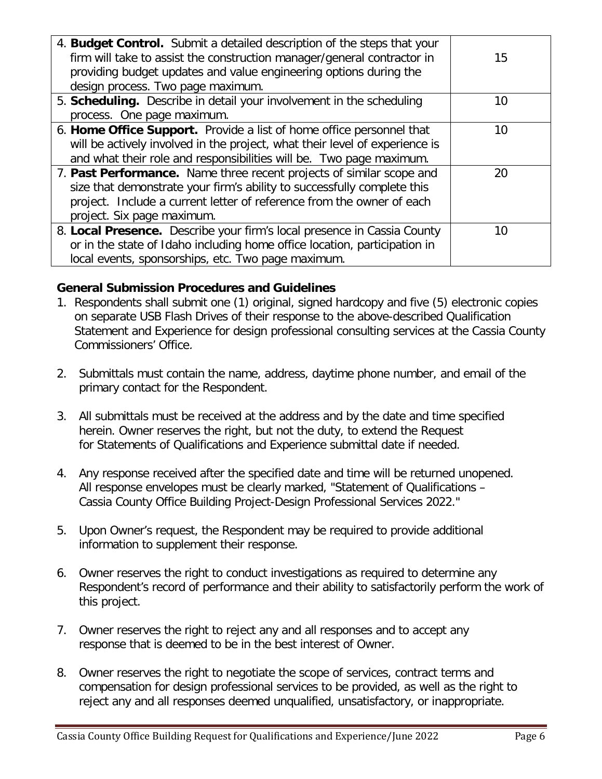| 4. Budget Control. Submit a detailed description of the steps that your<br>firm will take to assist the construction manager/general contractor in<br>providing budget updates and value engineering options during the<br>design process. Two page maximum. | 15 |
|--------------------------------------------------------------------------------------------------------------------------------------------------------------------------------------------------------------------------------------------------------------|----|
| 5. Scheduling. Describe in detail your involvement in the scheduling                                                                                                                                                                                         | 10 |
| process. One page maximum.                                                                                                                                                                                                                                   |    |
| 6. Home Office Support. Provide a list of home office personnel that<br>will be actively involved in the project, what their level of experience is<br>and what their role and responsibilities will be. Two page maximum.                                   | 10 |
| 7. Past Performance. Name three recent projects of similar scope and<br>size that demonstrate your firm's ability to successfully complete this<br>project. Include a current letter of reference from the owner of each<br>project. Six page maximum.       | 20 |
| 8. Local Presence. Describe your firm's local presence in Cassia County<br>or in the state of Idaho including home office location, participation in<br>local events, sponsorships, etc. Two page maximum.                                                   | 10 |

# **General Submission Procedures and Guidelines**

- 1. Respondents shall submit one (1) original, signed hardcopy and five (5) electronic copies on separate USB Flash Drives of their response to the above-described Qualification Statement and Experience for design professional consulting services at the Cassia County Commissioners' Office.
- 2. Submittals must contain the name, address, daytime phone number, and email of the primary contact for the Respondent.
- 3. All submittals must be received at the address and by the date and time specified herein. Owner reserves the right, but not the duty, to extend the Request for Statements of Qualifications and Experience submittal date if needed.
- 4. Any response received after the specified date and time will be returned unopened. All response envelopes must be clearly marked, "Statement of Qualifications – Cassia County Office Building Project-Design Professional Services 2022."
- 5. Upon Owner's request, the Respondent may be required to provide additional information to supplement their response.
- 6. Owner reserves the right to conduct investigations as required to determine any Respondent's record of performance and their ability to satisfactorily perform the work of this project.
- 7. Owner reserves the right to reject any and all responses and to accept any response that is deemed to be in the best interest of Owner.
- 8. Owner reserves the right to negotiate the scope of services, contract terms and compensation for design professional services to be provided, as well as the right to reject any and all responses deemed unqualified, unsatisfactory, or inappropriate.